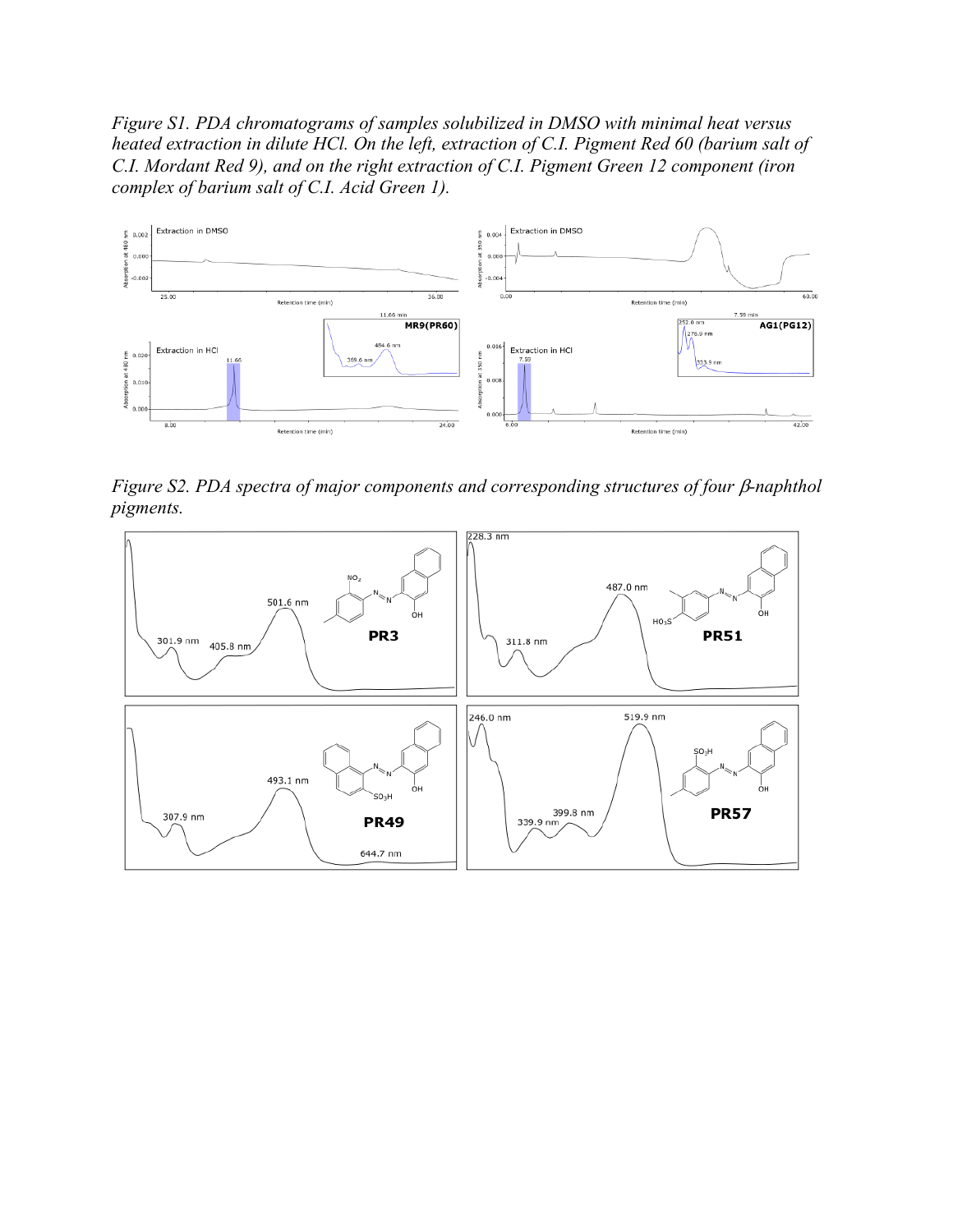*Figure S1. PDA chromatograms of samples solubilized in DMSO with minimal heat versus heated extraction in dilute HCl. On the left, extraction of C.I. Pigment Red 60 (barium salt of C.I. Mordant Red 9), and on the right extraction of C.I. Pigment Green 12 component (iron complex of barium salt of C.I. Acid Green 1).*



*Figure S2. PDA spectra of major components and corresponding structures of four*  $\beta$ *-naphthol pigments.*

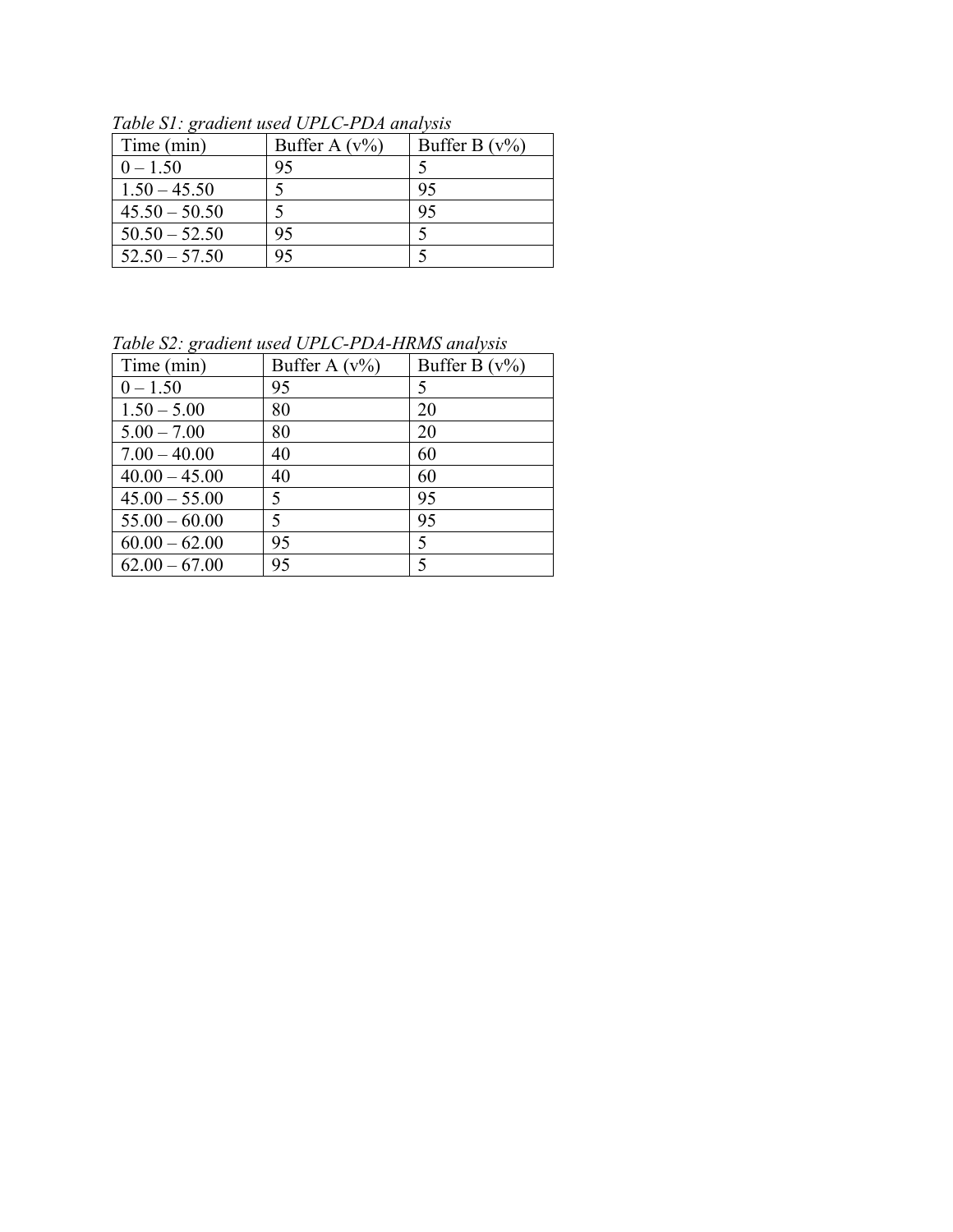| Time (min)      | Buffer A $(v\%)$ | Buffer B $(v\%)$ |
|-----------------|------------------|------------------|
| $0 - 1.50$      | 95               |                  |
| $1.50 - 45.50$  |                  | 95               |
| $45.50 - 50.50$ |                  | 95               |
| $50.50 - 52.50$ | 95               |                  |
| $52.50 - 57.50$ | 95               |                  |

*Table S1: gradient used UPLC-PDA analysis*

*Table S2: gradient used UPLC-PDA-HRMS analysis*

| $\cdots$        | $0.1001$ $1.211$ $1.11$ $1.100$ $1.11$ $1.100$ |                          |
|-----------------|------------------------------------------------|--------------------------|
| Time (min)      | Buffer A $(v\%)$                               | Buffer B $(v\%)$         |
| $0 - 1.50$      | 95                                             | 5                        |
| $1.50 - 5.00$   | 80                                             | 20                       |
| $5.00 - 7.00$   | 80                                             | 20                       |
| $7.00 - 40.00$  | 40                                             | 60                       |
| $40.00 - 45.00$ | 40                                             | 60                       |
| $45.00 - 55.00$ | 5                                              | 95                       |
| $55.00 - 60.00$ | 5                                              | 95                       |
| $60.00 - 62.00$ | 95                                             | 5                        |
| $62.00 - 67.00$ | 95                                             | $\overline{\mathcal{L}}$ |
|                 |                                                |                          |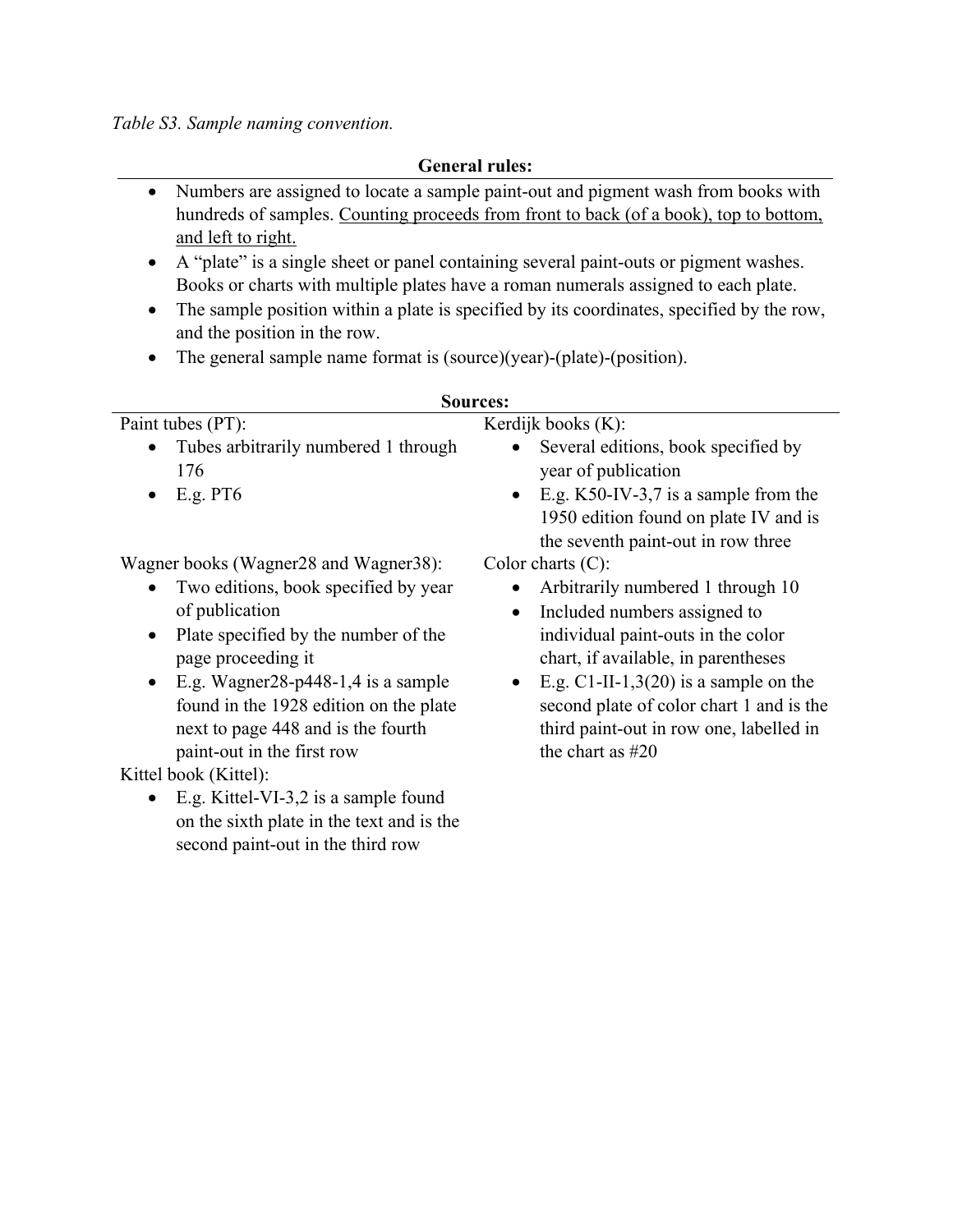*Table S3. Sample naming convention.*

**General rules:**

- Numbers are assigned to locate a sample paint-out and pigment wash from books with hundreds of samples. Counting proceeds from front to back (of a book), top to bottom, and left to right.
- A "plate" is a single sheet or panel containing several paint-outs or pigment washes. Books or charts with multiple plates have a roman numerals assigned to each plate.
- The sample position within a plate is specified by its coordinates, specified by the row, and the position in the row.
- The general sample name format is (source)(year)-(plate)-(position).

| <b>Sources:</b>                                            |                                                      |  |  |  |
|------------------------------------------------------------|------------------------------------------------------|--|--|--|
| Paint tubes (PT):                                          | Kerdijk books $(K)$ :                                |  |  |  |
| Tubes arbitrarily numbered 1 through<br>$\bullet$          | Several editions, book specified by                  |  |  |  |
| 176                                                        | year of publication                                  |  |  |  |
| E.g. PT6<br>$\bullet$                                      | E.g. $K50$ -IV-3,7 is a sample from the<br>$\bullet$ |  |  |  |
|                                                            | 1950 edition found on plate IV and is                |  |  |  |
|                                                            | the seventh paint-out in row three                   |  |  |  |
| Wagner books (Wagner28 and Wagner38):                      | Color charts $(C)$ :                                 |  |  |  |
| Two editions, book specified by year                       | Arbitrarily numbered 1 through 10                    |  |  |  |
| of publication                                             | Included numbers assigned to<br>$\bullet$            |  |  |  |
| Plate specified by the number of the<br>$\bullet$          | individual paint-outs in the color                   |  |  |  |
| page proceeding it                                         | chart, if available, in parentheses                  |  |  |  |
| E.g. Wagner $28$ -p $448$ -1, $4$ is a sample<br>$\bullet$ | E.g. C1-II-1,3(20) is a sample on the<br>$\bullet$   |  |  |  |
| found in the 1928 edition on the plate                     | second plate of color chart 1 and is the             |  |  |  |
| next to page 448 and is the fourth                         | third paint-out in row one, labelled in              |  |  |  |
| paint-out in the first row                                 | the chart as $#20$                                   |  |  |  |
| Kittel book (Kittel):                                      |                                                      |  |  |  |

• E.g. Kittel-VI-3,2 is a sample found on the sixth plate in the text and is the second paint-out in the third row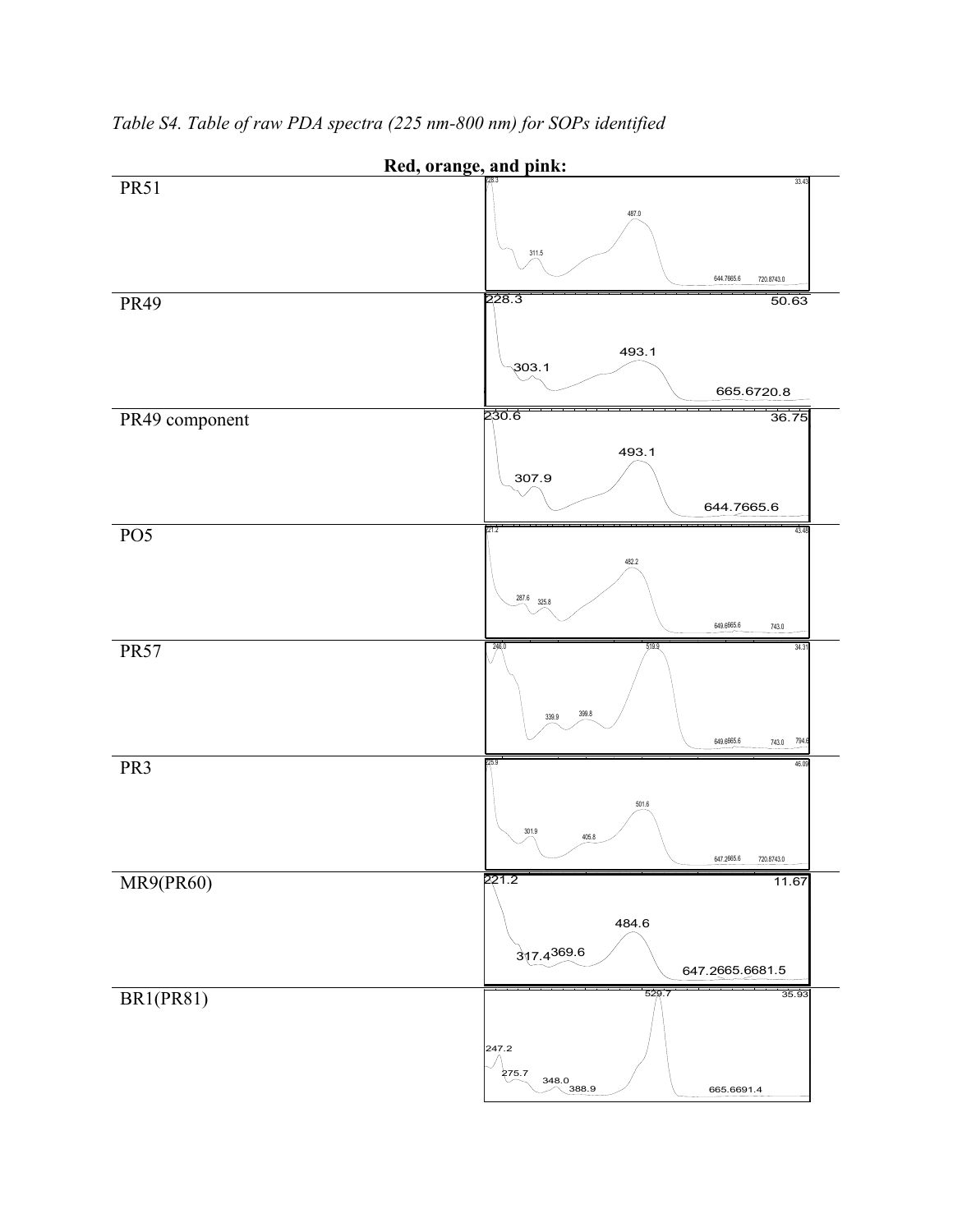

*Table S4. Table of raw PDA spectra (225 nm-800 nm) for SOPs identified*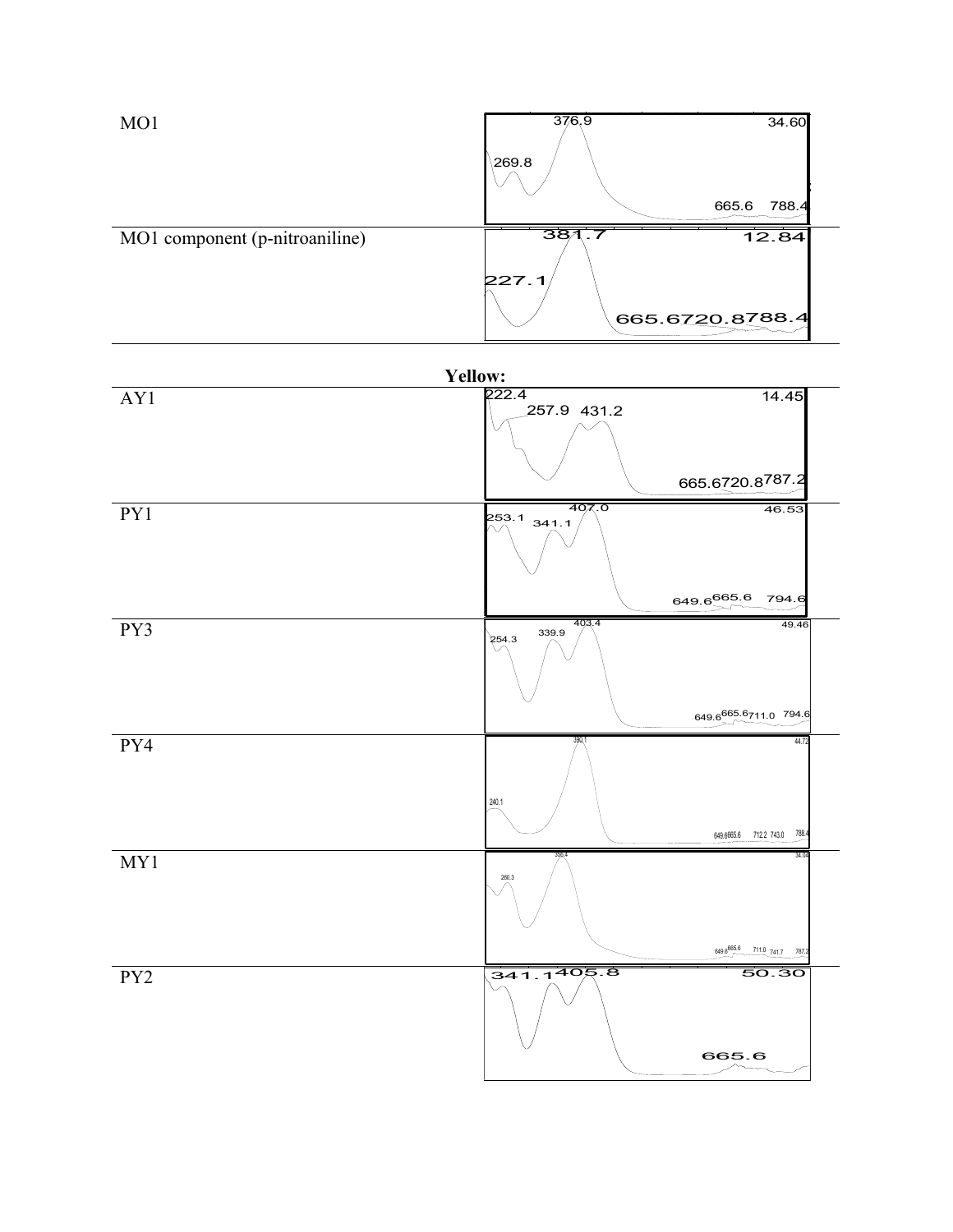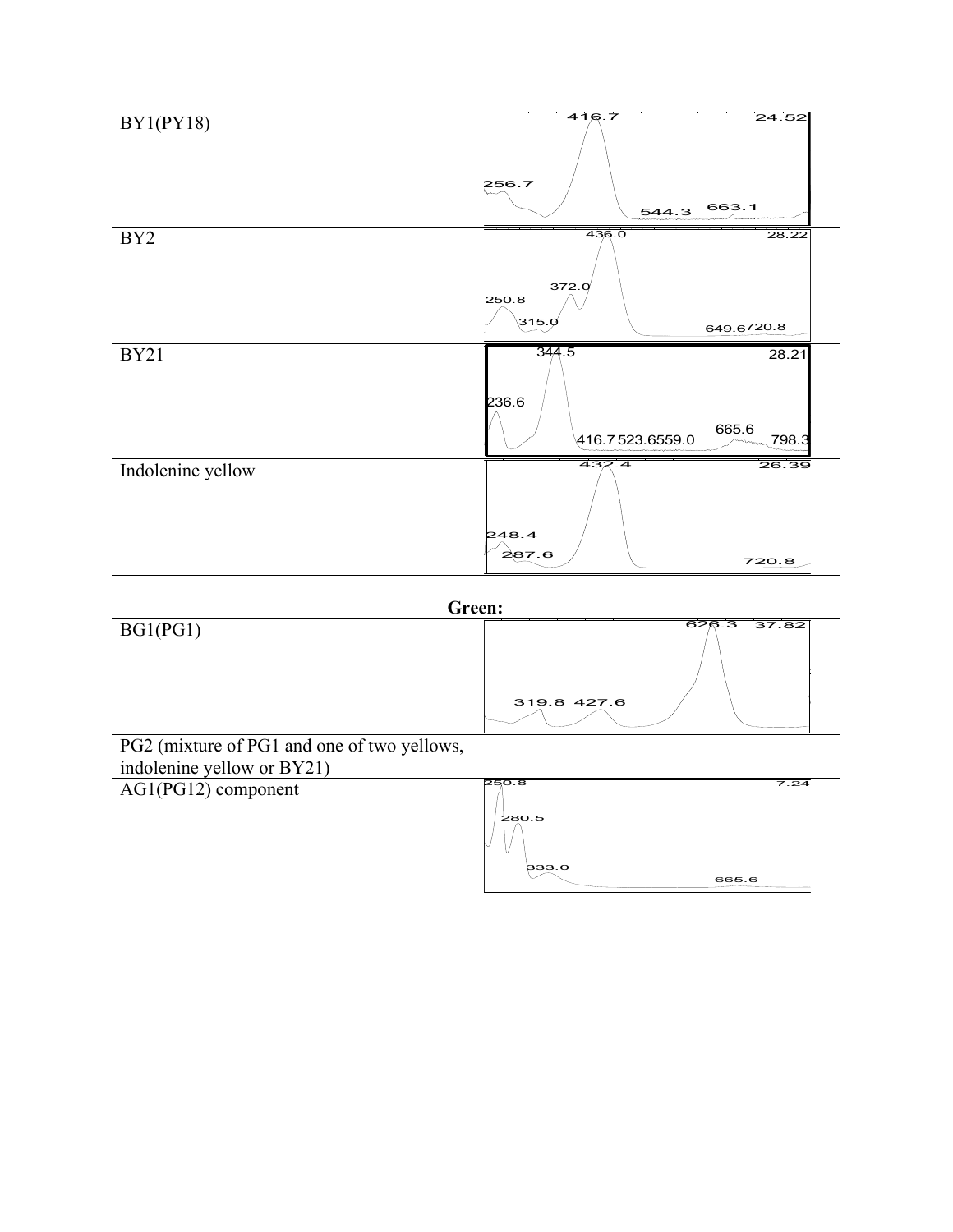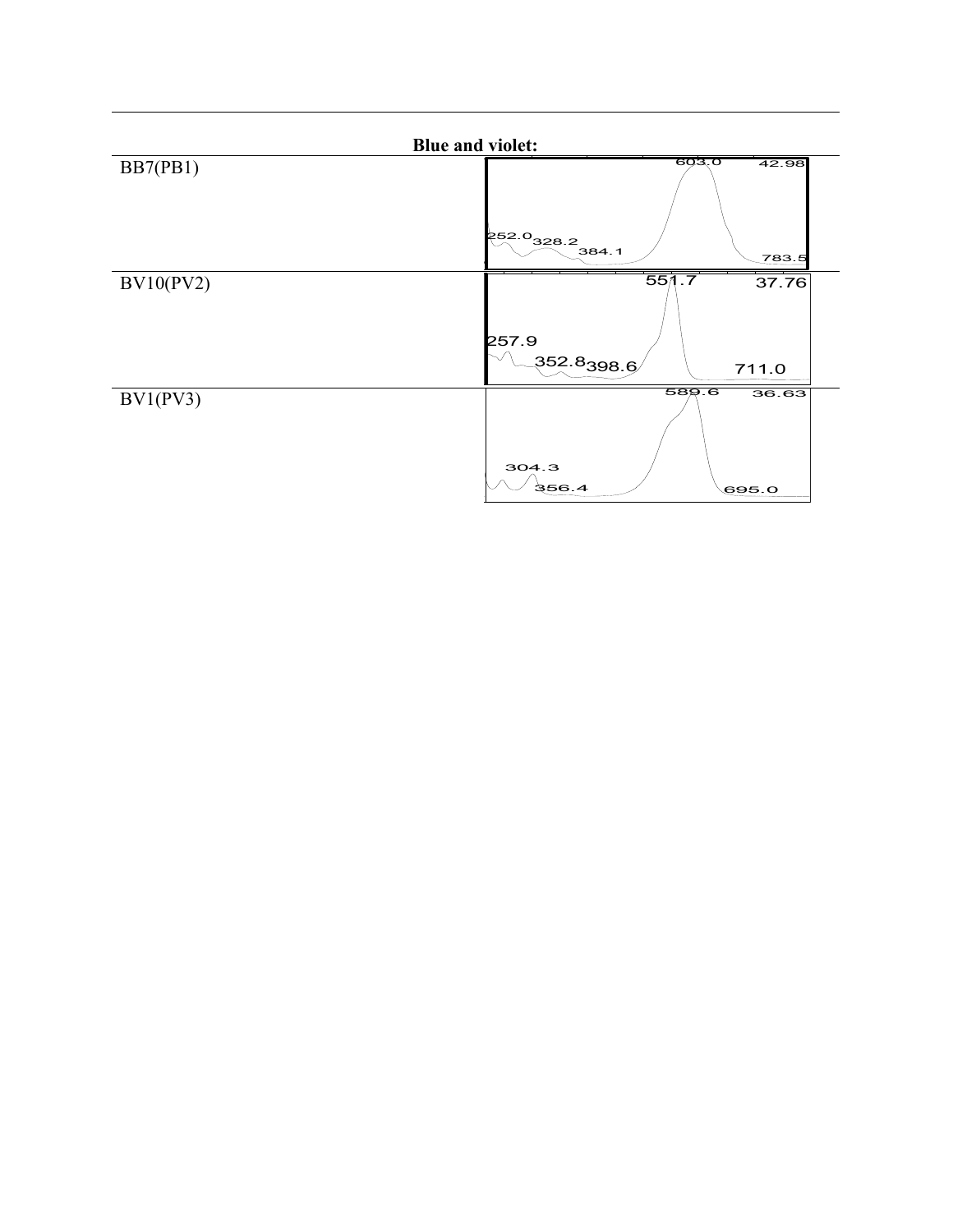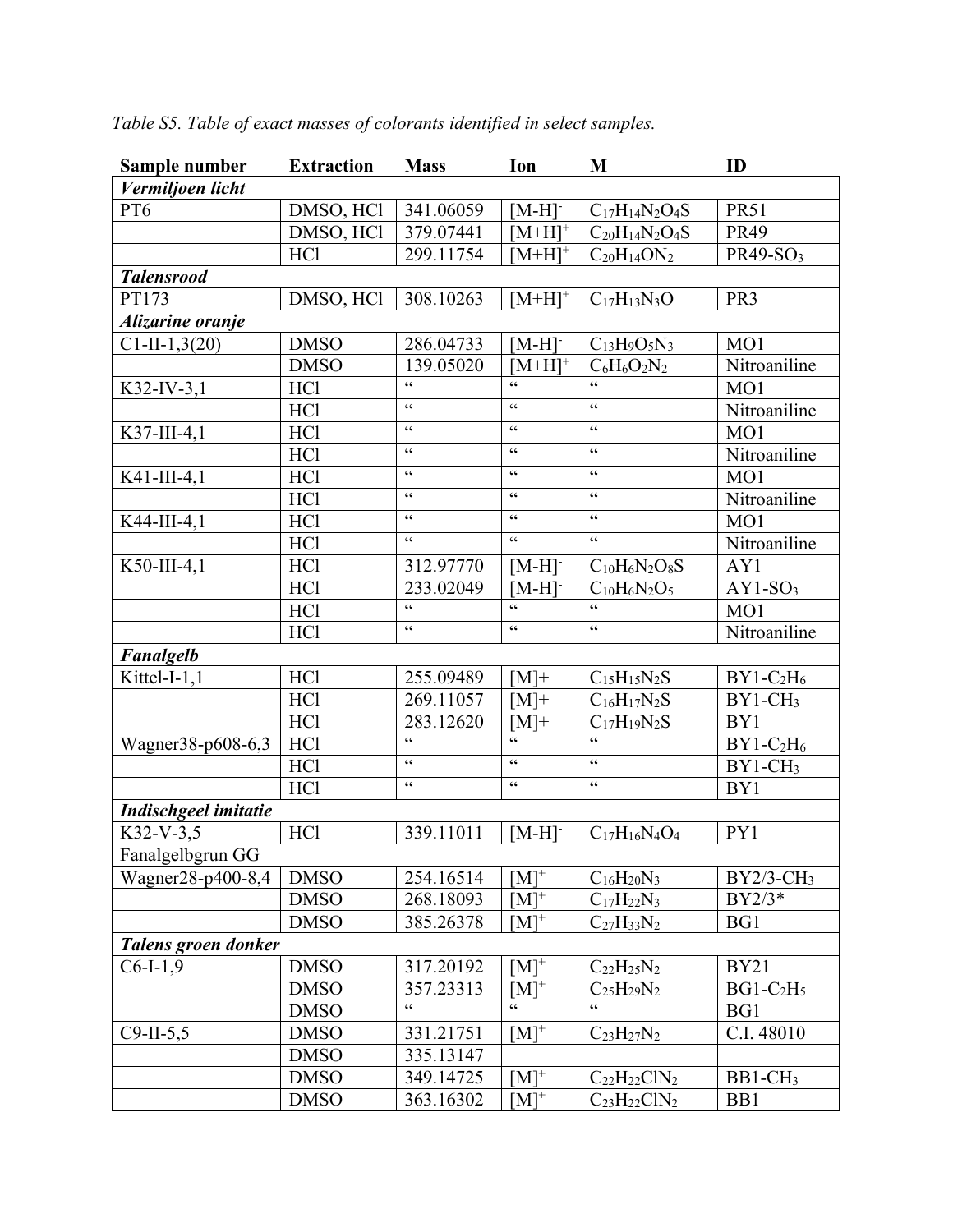| Sample number        | <b>Extraction</b> | <b>Mass</b>                                       | Ion                                        | M                     | ID                       |
|----------------------|-------------------|---------------------------------------------------|--------------------------------------------|-----------------------|--------------------------|
| Vermiljoen licht     |                   |                                                   |                                            |                       |                          |
| PT <sub>6</sub>      | DMSO, HCl         | 341.06059                                         | $[M-H]$                                    | $C_{17}H_{14}N_2O_4S$ | <b>PR51</b>              |
|                      | DMSO, HCl         | 379.07441                                         | $[M+H]^+$                                  | $C_{20}H_{14}N_2O_4S$ | <b>PR49</b>              |
|                      | <b>HCl</b>        | 299.11754                                         | $[M+H]^+$                                  | $C_{20}H_{14}ON_2$    | PR49-SO <sub>3</sub>     |
| <b>Talensrood</b>    |                   |                                                   |                                            |                       |                          |
| PT173                | DMSO, HCl         | 308.10263                                         | $[M+H]^+$                                  | $C_{17}H_{13}N_3O$    | PR <sub>3</sub>          |
| Alizarine oranje     |                   |                                                   |                                            |                       |                          |
| $C1-II-1,3(20)$      | <b>DMSO</b>       | 286.04733                                         | $[M-H]$                                    | $C_{13}H_9O_5N_3$     | MO1                      |
|                      | <b>DMSO</b>       | 139.05020                                         | $[M+H]$ <sup>+</sup>                       | $C_6H_6O_2N_2$        | Nitroaniline             |
| $K32$ -IV-3,1        | HC1               | $\boldsymbol{\varsigma}$ $\boldsymbol{\varsigma}$ | $\zeta \zeta$                              | $\epsilon$            | MO1                      |
|                      | <b>HCl</b>        | $\zeta \, \zeta$                                  | $\epsilon$                                 | $\zeta$ $\zeta$       | Nitroaniline             |
| K37-III-4,1          | <b>HCl</b>        | $\zeta$ $\zeta$                                   | $\zeta$ $\zeta$                            | $\zeta\,\zeta$        | MO1                      |
|                      | <b>HCl</b>        | $\zeta$ $\zeta$                                   | $\zeta$ $\zeta$                            | $\zeta\,\zeta$        | Nitroaniline             |
| K41-III-4,1          | HC1               | $\zeta$ $\zeta$                                   | $\zeta$ $\zeta$                            | $\zeta$ $\zeta$       | MO1                      |
|                      | <b>HCl</b>        | $\zeta \, \zeta$                                  | $\boldsymbol{\zeta} \, \boldsymbol{\zeta}$ | $\zeta \, \zeta$      | Nitroaniline             |
| K44-III-4,1          | HC1               | $\zeta \zeta$                                     | $\zeta \, \zeta$                           | $\zeta$ $\zeta$       | MO1                      |
|                      | <b>HCl</b>        | $\zeta$ $\zeta$                                   | $\zeta$ $\zeta$                            | $\zeta$ $\zeta$       | Nitroaniline             |
| K50-III-4,1          | HC1               | 312.97770                                         | $[M-H]$                                    | $C_{10}H_6N_2O_8S$    | AY1                      |
|                      | HC1               | 233.02049                                         | $[M-H]$                                    | $C_{10}H_6N_2O_5$     | $AY1-SO_3$               |
|                      | <b>HCl</b>        | $\zeta \, \zeta$                                  | $\zeta \zeta$                              | $\epsilon$            | MO1                      |
|                      | <b>HCl</b>        | $\zeta$ $\zeta$                                   | $\zeta \, \zeta$                           | $\zeta\,\zeta$        | Nitroaniline             |
| <b>Fanalgelb</b>     |                   |                                                   |                                            |                       |                          |
| Kittel-I-1,1         | HC1               | 255.09489                                         | $[M]+$                                     | $C_{15}H_{15}N_2S$    | $BY1-C2H6$               |
|                      | <b>HCl</b>        | 269.11057                                         | $[M]$ +                                    | $C_{16}H_{17}N_2S$    | $BY1-CH3$                |
|                      | <b>HCl</b>        | 283.12620                                         | $[M]+$                                     | $C_{17}H_{19}N_2S$    | BY1                      |
| Wagner38-p608-6,3    | <b>HCl</b>        | 66                                                |                                            |                       | $BY1-C2H6$               |
|                      | <b>HCl</b>        | $\zeta\,\zeta$                                    | $\zeta \, \zeta$                           | $\zeta$ $\zeta$       | $BY1-CH3$                |
|                      | HCl               | $\zeta$ $\zeta$                                   | $\zeta$ $\zeta$                            | $\zeta$ $\zeta$       | BY1                      |
| Indischgeel imitatie |                   |                                                   |                                            |                       |                          |
| K32-V-3,5            | <b>HCl</b>        | 339.11011                                         | $[M-H]$                                    | $C_{17}H_{16}N_4O_4$  | PY1                      |
| Fanalgelbgrun GG     |                   |                                                   |                                            |                       |                          |
| Wagner28-p400-8,4    | <b>DMSO</b>       | 254.16514                                         | $[M]^{+}$                                  | $C_{16}H_{20}N_3$     | $BY2/3$ -CH <sub>3</sub> |
|                      | <b>DMSO</b>       | 268.18093                                         | $[M]^{+}$                                  | $C_{17}H_{22}N_3$     | $BY2/3*$                 |
|                      | <b>DMSO</b>       | 385.26378                                         | $[M]^{+}$                                  | $C_{27}H_{33}N_2$     | BG1                      |
| Talens groen donker  |                   |                                                   |                                            |                       |                          |
| $C6-I-1,9$           | <b>DMSO</b>       | 317.20192                                         | $[M]^{+}$                                  | $C_{22}H_{25}N_2$     | <b>BY21</b>              |
|                      | <b>DMSO</b>       | 357.23313                                         | $[M]^{+}$                                  | $C_{25}H_{29}N_2$     | $BG1-C2H5$               |
|                      | <b>DMSO</b>       | $\zeta$ $\zeta$                                   | $\zeta$ $\zeta$                            | $\epsilon$            | BG1                      |
| $C9-II-5,5$          | <b>DMSO</b>       | 331.21751                                         | $[M]^{+}$                                  | $C_{23}H_{27}N_2$     | C.I. 48010               |
|                      | <b>DMSO</b>       | 335.13147                                         |                                            |                       |                          |
|                      | <b>DMSO</b>       | 349.14725                                         | $[M]^{+}$                                  | $C_{22}H_{22}CIN_2$   | $BB1-CH3$                |
|                      | <b>DMSO</b>       | 363.16302                                         | $[M]^{+}$                                  | $C_{23}H_{22}CIN_2$   | B <sub>B1</sub>          |

*Table S5. Table of exact masses of colorants identified in select samples.*